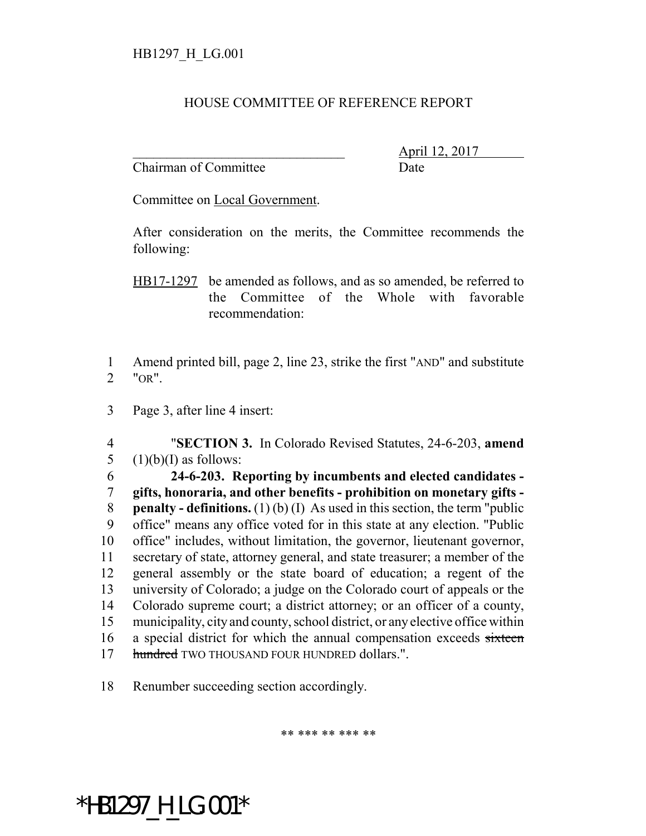## HOUSE COMMITTEE OF REFERENCE REPORT

Chairman of Committee Date

\_\_\_\_\_\_\_\_\_\_\_\_\_\_\_\_\_\_\_\_\_\_\_\_\_\_\_\_\_\_\_ April 12, 2017

Committee on Local Government.

After consideration on the merits, the Committee recommends the following:

HB17-1297 be amended as follows, and as so amended, be referred to the Committee of the Whole with favorable recommendation:

1 Amend printed bill, page 2, line 23, strike the first "AND" and substitute 2 "OR".

3 Page 3, after line 4 insert:

4 "**SECTION 3.** In Colorado Revised Statutes, 24-6-203, **amend** 5  $(1)(b)(I)$  as follows:

 **24-6-203. Reporting by incumbents and elected candidates - gifts, honoraria, and other benefits - prohibition on monetary gifts - penalty - definitions.** (1) (b) (I) As used in this section, the term "public office" means any office voted for in this state at any election. "Public office" includes, without limitation, the governor, lieutenant governor, secretary of state, attorney general, and state treasurer; a member of the general assembly or the state board of education; a regent of the university of Colorado; a judge on the Colorado court of appeals or the Colorado supreme court; a district attorney; or an officer of a county, municipality, city and county, school district, or any elective office within 16 a special district for which the annual compensation exceeds sixteen 17 hundred TWO THOUSAND FOUR HUNDRED dollars.".

18 Renumber succeeding section accordingly.

\*\* \*\*\* \*\* \*\*\* \*\*

\*HB1297\_H\_LG.001\*